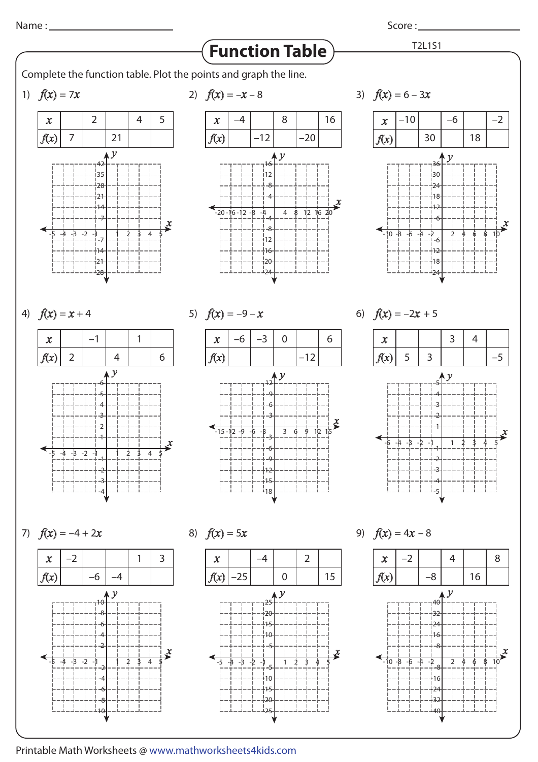Score :

T2L1S1

## **Function Table**

Complete the function table. Plot the points and graph the line.

1)  $f(x) = 7$ .





3)  $f(x) = 6 - 3$ .







5)  $f(x) = -9-x$  6)  $f(x) = -2x + 5$ 



7)  $f(x) = -4 + 2$ –2 –6 –4 1 3  $-4$   $-5$   $-2$   $-1$   $1$   $1$   $2$   $3$  $\mathcal{V}$ -6 6 -8 8 .<br>110  $10$ -2 2 -4 4  $\boldsymbol{\mathcal{X}}$  $\sim$ 

8)  $f(x) = 5$ .  $\vert$  –25 –4 0 2 15  $-4$   $-3$   $-2$   $-1$   $-1$   $2$   $3$   $4$  $\mathcal{Y}$ 25  $-20$ .<br>115 5  $-10$ -5 -15 -10  $-20$  $\frac{1}{25}$  $\sim$ 

9)  $f(x) = 4x - 8$